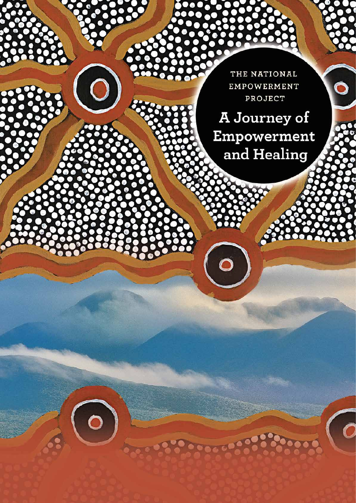THE NATIONAL EMPOWERMENT PROJECT

Ó

 $\overline{\mathcal{O}}$ 

A Journey of Empowerment and Healing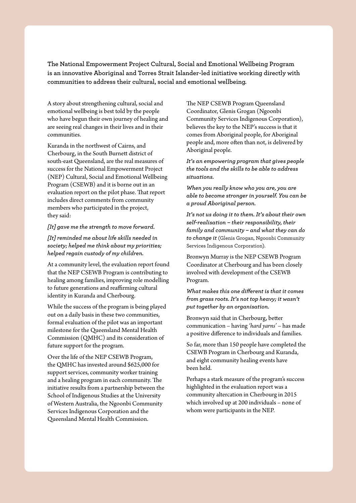**The National Empowerment Project Cultural, Social and Emotional Wellbeing Program is an innovative Aboriginal and Torres Strait Islander-led initiative working directly with communities to address their cultural, social and emotional wellbeing.** 

A story about strengthening cultural, social and emotional wellbeing is best told by the people who have begun their own journey of healing and are seeing real changes in their lives and in their communities.

Kuranda in the northwest of Cairns, and Cherbourg, in the South Burnett district of south-east Queensland, are the real measures of success for the National Empowerment Project (NEP) Cultural, Social and Emotional Wellbeing Program (CSEWB) and it is borne out in an evaluation report on the pilot phase. That report includes direct comments from community members who participated in the project, they said:

## *[It] gave me the strength to move forward.*

*[It] reminded me about life skills needed in society; helped me think about my priorities; helped regain custody of my children.*

At a community level, the evaluation report found that the NEP CSEWB Program is contributing to healing among families, improving role modelling to future generations and reaffirming cultural identity in Kuranda and Cherbourg.

While the success of the program is being played out on a daily basis in these two communities, formal evaluation of the pilot was an important milestone for the Queensland Mental Health Commission (QMHC) and its consideration of future support for the program.

Over the life of the NEP CSEWB Program, the QMHC has invested around \$625,000 for support services, community worker training and a healing program in each community. The initiative results from a partnership between the School of Indigenous Studies at the University of Western Australia, the Ngoonbi Community Services Indigenous Corporation and the Queensland Mental Health Commission.

The NEP CSEWB Program Queensland Coordinator, Glenis Grogan (Ngoonbi Community Services Indigenous Corporation), believes the key to the NEP's success is that it comes from Aboriginal people, for Aboriginal people and, more often than not, is delivered by Aboriginal people.

*It's an empowering program that gives people the tools and the skills to be able to address situations.*

*When you really know who you are, you are able to become stronger in yourself. You can be a proud Aboriginal person.*

*It's not us doing it to them. It's about their own self-realisation – their responsibility, their family and community – and what they can do to change it* (Glenis Grogan, Ngoonbi Community Services Indigenous Corporation).

Bronwyn Murray is the NEP CSEWB Program Coordinator at Cherbourg and has been closely involved with development of the CSEWB Program.

*What makes this one different is that it comes from grass roots. It's not top heavy; it wasn't put together by an organisation.*

Bronwyn said that in Cherbourg, better communication – having *'hard yarns'* – has made a positive difference to individuals and families.

So far, more than 150 people have completed the CSEWB Program in Cherbourg and Kuranda, and eight community healing events have been held.

Perhaps a stark measure of the program's success highlighted in the evaluation report was a community altercation in Cherbourg in 2015 which involved up at 200 individuals – none of whom were participants in the NEP.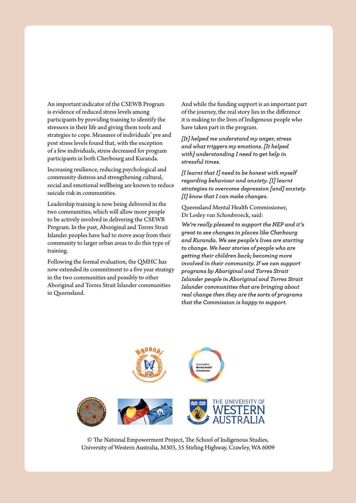An important indicator of the CSEWB Program is evidence of reduced stress levels among participants by providing training to identify the stressors in their life and giving them tools and strategies to cope. Measures of individuals' pre and post stress levels found that, with the exception of a few individuals, stress decreased for program participants in both Cherbourg and Kuranda.

Increasing resilience, reducing psychological and community distress and strengthening cultural, social and emotional wellbeing are known to reduce suicide risk in communities.

Leadership training is now being delivered in the two communities, which will allow more people to be actively involved in delivering the CSEWB Program. In the past, Aboriginal and Torres Strait Islander peoples have had to move away from their community to larger urban areas to do this type of training.

Following the formal evaluation, the QMHC has now extended its commitment to a five year strategy in the two communities and possibly to other Aboriginal and Torres Strait Islander communities in Queensland.

And while the funding support is an important part of the journey, the real story lies in the difference it is making to the lives of Indigenous people who have taken part in the program.

*[It] helped me understand my anger, stress and what triggers my emotions. [It helped with] understanding I need to get help in stressful times.*

*[I learnt that I] need to be honest with myself regarding behaviour and anxiety. [I] learnt strategies to overcome depression [and] anxiety. [I] know that I can make changes.*

Queensland Mental Health Commissioner, Dr Lesley van Schoubroeck, said:

*We're really pleased to support the NEP and it's great to see changes in places like Cherbourg and Kuranda. We see people's lives are starting to change. We hear stories of people who are getting their children back; becoming more involved in their community. If we can support programs by Aboriginal and Torres Strait Islander people in Aboriginal and Torres Strait Islander communities that are bringing about real change then they are the sorts of programs that the Commission is happy to support.*



© The National Empowerment Project, The School of Indigenous Studies, University of Western Australia, M303, 35 Stirling Highway, Crawley, WA 6009